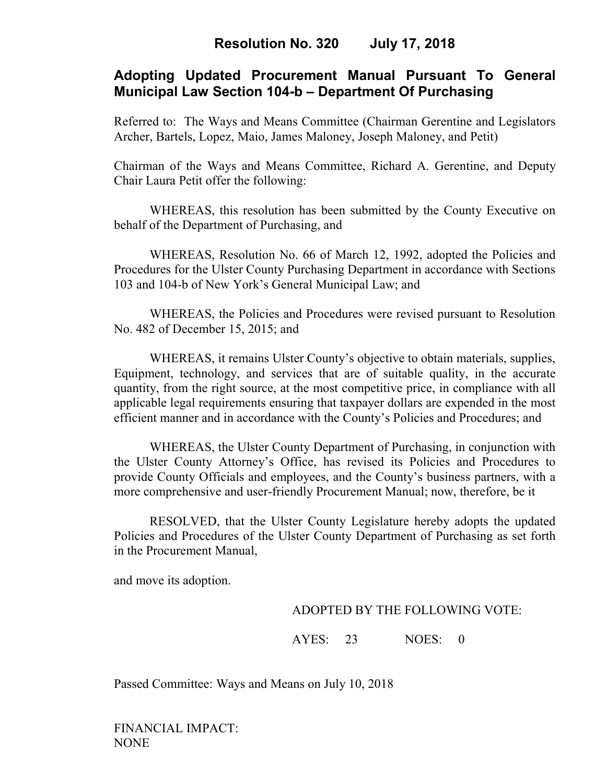# **Adopting Updated Procurement Manual Pursuant To General Municipal Law Section 104-b – Department Of Purchasing**

Referred to: The Ways and Means Committee (Chairman Gerentine and Legislators Archer, Bartels, Lopez, Maio, James Maloney, Joseph Maloney, and Petit)

Chairman of the Ways and Means Committee, Richard A. Gerentine, and Deputy Chair Laura Petit offer the following:

 WHEREAS, this resolution has been submitted by the County Executive on behalf of the Department of Purchasing, and

WHEREAS, Resolution No. 66 of March 12, 1992, adopted the Policies and Procedures for the Ulster County Purchasing Department in accordance with Sections 103 and 104-b of New York's General Municipal Law; and

WHEREAS, the Policies and Procedures were revised pursuant to Resolution No. 482 of December 15, 2015; and

WHEREAS, it remains Ulster County's objective to obtain materials, supplies, Equipment, technology, and services that are of suitable quality, in the accurate quantity, from the right source, at the most competitive price, in compliance with all applicable legal requirements ensuring that taxpayer dollars are expended in the most efficient manner and in accordance with the County's Policies and Procedures; and

WHEREAS, the Ulster County Department of Purchasing, in conjunction with the Ulster County Attorney's Office, has revised its Policies and Procedures to provide County Officials and employees, and the County's business partners, with a more comprehensive and user-friendly Procurement Manual; now, therefore, be it

RESOLVED, that the Ulster County Legislature hereby adopts the updated Policies and Procedures of the Ulster County Department of Purchasing as set forth in the Procurement Manual,

and move its adoption.

## ADOPTED BY THE FOLLOWING VOTE:

AYES: 23 NOES: 0

Passed Committee: Ways and Means on July 10, 2018